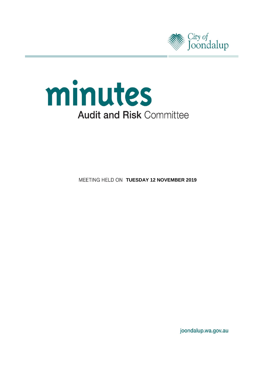



**MEETING HELD ON TUESDAY 12 NOVEMBER 2019** 

joondalup.wa.gov.au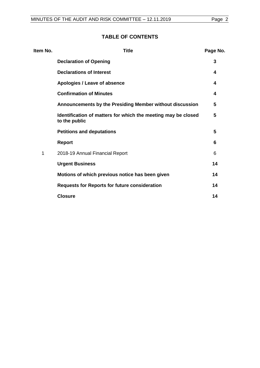# **TABLE OF CONTENTS**

| Item No. | <b>Title</b>                                                                   | Page No. |
|----------|--------------------------------------------------------------------------------|----------|
|          | <b>Declaration of Opening</b>                                                  | 3        |
|          | <b>Declarations of Interest</b>                                                | 4        |
|          | Apologies / Leave of absence                                                   | 4        |
|          | <b>Confirmation of Minutes</b>                                                 | 4        |
|          | Announcements by the Presiding Member without discussion                       | 5        |
|          | Identification of matters for which the meeting may be closed<br>to the public | 5        |
|          | <b>Petitions and deputations</b>                                               | 5        |
|          | <b>Report</b>                                                                  | 6        |
| 1        | 2018-19 Annual Financial Report                                                | 6        |
|          | <b>Urgent Business</b>                                                         | 14       |
|          | Motions of which previous notice has been given                                | 14       |
|          | <b>Requests for Reports for future consideration</b>                           | 14       |
|          | <b>Closure</b>                                                                 | 14       |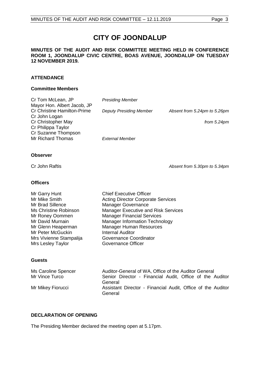# **CITY OF JOONDALUP**

#### **MINUTES OF THE AUDIT AND RISK COMMITTEE MEETING HELD IN CONFERENCE ROOM 1, JOONDALUP CIVIC CENTRE, BOAS AVENUE, JOONDALUP ON TUESDAY 12 NOVEMBER 2019.**

#### **ATTENDANCE**

#### **Committee Members**

| Cr Tom McLean, JP                  | <b>Presiding Member</b>        |                              |
|------------------------------------|--------------------------------|------------------------------|
| Mayor Hon. Albert Jacob, JP        |                                |                              |
| <b>Cr Christine Hamilton-Prime</b> | <b>Deputy Presiding Member</b> | Absent from 5.24pm to 5.26pm |
| Cr John Logan                      |                                |                              |
| Cr Christopher May                 |                                | from $5.24$ pm               |
| Cr Philippa Taylor                 |                                |                              |
| Cr Suzanne Thompson                |                                |                              |
| Mr Richard Thomas                  | External Member                |                              |
|                                    |                                |                              |

#### **Observer**

Cr John Raftis *Absent from 5.30pm to 5.34pm*

#### **Officers**

| Mr Garry Hunt           | <b>Chief Executive Officer</b>             |
|-------------------------|--------------------------------------------|
| Mr Mike Smith           | <b>Acting Director Corporate Services</b>  |
| Mr Brad Sillence        | <b>Manager Governance</b>                  |
| Ms Christine Robinson   | <b>Manager Executive and Risk Services</b> |
| Mr Roney Oommen         | <b>Manager Financial Services</b>          |
| Mr David Murnain        | <b>Manager Information Technology</b>      |
| Mr Glenn Heaperman      | <b>Manager Human Resources</b>             |
| Mr Peter McGuckin       | <b>Internal Auditor</b>                    |
| Mrs Vivienne Stampalija | Governance Coordinator                     |
| Mrs Lesley Taylor       | Governance Officer                         |
|                         |                                            |
|                         |                                            |

#### **Guests**

| Ms Caroline Spencer | Auditor-General of WA, Office of the Auditor General                              |
|---------------------|-----------------------------------------------------------------------------------|
| Mr Vince Turco      | Senior Director - Financial Audit, Office of the Auditor                          |
| Mr Mikey Fiorucci   | General<br>Assistant Director - Financial Audit, Office of the Auditor<br>General |

# <span id="page-2-0"></span>**DECLARATION OF OPENING**

The Presiding Member declared the meeting open at 5.17pm.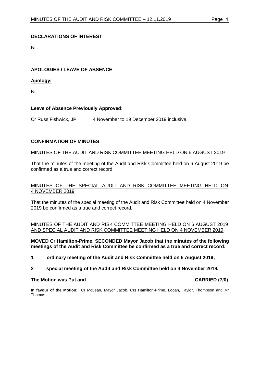## <span id="page-3-0"></span>**DECLARATIONS OF INTEREST**

Nil.

## <span id="page-3-1"></span>**APOLOGIES / LEAVE OF ABSENCE**

## **Apology:**

Nil.

## **Leave of Absence Previously Approved:**

Cr Russ Fishwick, JP 4 November to 19 December 2019 inclusive.

## <span id="page-3-2"></span>**CONFIRMATION OF MINUTES**

#### MINUTES OF THE AUDIT AND RISK COMMITTEE MEETING HELD ON 6 AUGUST 2019

That the minutes of the meeting of the Audit and Risk Committee held on 6 August 2019 be confirmed as a true and correct record.

#### MINUTES OF THE SPECIAL AUDIT AND RISK COMMITTEE MEETING HELD ON 4 NOVEMBER 2019

That the minutes of the special meeting of the Audit and Risk Committee held on 4 November 2019 be confirmed as a true and correct record.

#### MINUTES OF THE AUDIT AND RISK COMMITTEE MEETING HELD ON 6 AUGUST 2019 AND SPECIAL AUDIT AND RISK COMMITTEE MEETING HELD ON 4 NOVEMBER 2019

**MOVED Cr Hamilton-Prime, SECONDED Mayor Jacob that the minutes of the following meetings of the Audit and Risk Committee be confirmed as a true and correct record:**

- **1 ordinary meeting of the Audit and Risk Committee held on 6 August 2019;**
- **2 special meeting of the Audit and Risk Committee held on 4 November 2019.**

#### **The Motion was Put and CARRIED (7/0)**

**In favour of the Motion:** Cr McLean, Mayor Jacob, Crs Hamilton-Prime, Logan, Taylor, Thompson and Mr Thomas.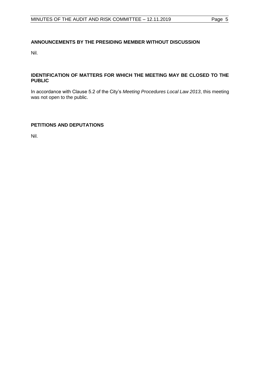# <span id="page-4-0"></span>**ANNOUNCEMENTS BY THE PRESIDING MEMBER WITHOUT DISCUSSION**

Nil.

### <span id="page-4-1"></span>**IDENTIFICATION OF MATTERS FOR WHICH THE MEETING MAY BE CLOSED TO THE PUBLIC**

In accordance with Clause 5.2 of the City's *Meeting Procedures Local Law 2013*, this meeting was not open to the public.

# <span id="page-4-2"></span>**PETITIONS AND DEPUTATIONS**

Nil.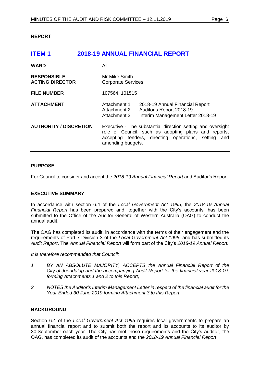#### <span id="page-5-0"></span>**REPORT**

# <span id="page-5-1"></span>**ITEM 1 2018-19 ANNUAL FINANCIAL REPORT**

| <b>WARD</b>                                  | All                                                                                                                                                                                              |                                                                                                  |
|----------------------------------------------|--------------------------------------------------------------------------------------------------------------------------------------------------------------------------------------------------|--------------------------------------------------------------------------------------------------|
| <b>RESPONSIBLE</b><br><b>ACTING DIRECTOR</b> | Mr Mike Smith<br><b>Corporate Services</b>                                                                                                                                                       |                                                                                                  |
| <b>FILE NUMBER</b>                           | 107564, 101515                                                                                                                                                                                   |                                                                                                  |
| <b>ATTACHMENT</b>                            | Attachment 1<br>Attachment 2<br>Attachment 3                                                                                                                                                     | 2018-19 Annual Financial Report<br>Auditor's Report 2018-19<br>Interim Management Letter 2018-19 |
| <b>AUTHORITY / DISCRETION</b>                | Executive - The substantial direction setting and oversight<br>role of Council, such as adopting plans and reports,<br>accepting tenders, directing operations, setting and<br>amending budgets. |                                                                                                  |

#### **PURPOSE**

For Council to consider and accept the *2018-19 Annual Financial Report* and Auditor's Report.

#### **EXECUTIVE SUMMARY**

In accordance with section 6.4 of the *Local Government Act 1995*, the *2018-19 Annual Financial Report* has been prepared and, together with the City's accounts, has been submitted to the Office of the Auditor General of Western Australia (OAG) to conduct the annual audit.

The OAG has completed its audit, in accordance with the terms of their engagement and the requirements of Part 7 Division 3 of the *Local Government Act 1995*, and has submitted its *Audit Report*. The *Annual Financial Report* will form part of the City's *2018-19 Annual Report.* 

*It is therefore recommended that Council:*

- *1 BY AN ABSOLUTE MAJORITY, ACCEPTS the Annual Financial Report of the City of Joondalup and the accompanying Audit Report for the financial year 2018-19, forming Attachments 1 and 2 to this Report;*
- *2 NOTES the Auditor's Interim Management Letter in respect of the financial audit for the Year Ended 30 June 2019 forming Attachment 3 to this Report.*

## **BACKGROUND**

Section 6.4 of the *Local Government Act 1995* requires local governments to prepare an annual financial report and to submit both the report and its accounts to its auditor by 30 September each year. The City has met those requirements and the City's auditor, the OAG, has completed its audit of the accounts and the *2018-19 Annual Financial Report*.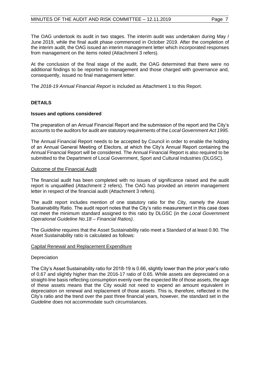The OAG undertook its audit in two stages. The interim audit was undertaken during May / June 2019, while the final audit phase commenced in October 2019. After the completion of the interim audit, the OAG issued an interim management letter which incorporated responses from management on the items noted (Attachment 3 refers).

At the conclusion of the final stage of the audit, the OAG determined that there were no additional findings to be reported to management and those charged with governance and, consequently, issued no final management letter.

The *2018-19 Annual Financial Report* is included as Attachment 1 to this Report.

# **DETAILS**

## **Issues and options considered**

The preparation of an Annual Financial Report and the submission of the report and the City's accounts to the auditors for audit are statutory requirements of the *Local Government Act 1995*.

The Annual Financial Report needs to be accepted by Council in order to enable the holding of an Annual General Meeting of Electors, at which the City's Annual Report containing the Annual Financial Report will be considered. The Annual Financial Report is also required to be submitted to the Department of Local Government, Sport and Cultural Industries (DLGSC).

#### Outcome of the Financial Audit

The financial audit has been completed with no issues of significance raised and the audit report is unqualified (Attachment 2 refers). The OAG has provided an interim management letter in respect of the financial audit (Attachment 3 refers).

The audit report includes mention of one statutory ratio for the City, namely the Asset Sustainability Ratio. The audit report notes that the City's ratio measurement in this case does not meet the minimum standard assigned to this ratio by DLGSC (in the *Local Government Operational Guideline No.18 – Financial Ratios)*.

The *Guideline* requires that the Asset Sustainability ratio meet a Standard of at least 0.90. The Asset Sustainability ratio is calculated as follows:

#### Capital Renewal and Replacement Expenditure

#### **Depreciation**

The City's Asset Sustainability ratio for 2018-19 is 0.66, slightly lower than the prior year's ratio of 0.67 and slightly higher than the 2016-17 ratio of 0.65. While assets are depreciated on a straight-line basis reflecting consumption evenly over the expected life of those assets, the age of these assets means that the City would not need to expend an amount equivalent in depreciation on renewal and replacement of those assets. This is, therefore, reflected in the City's ratio and the trend over the past three financial years, however, the standard set in the *Guideline* does not accommodate such circumstances.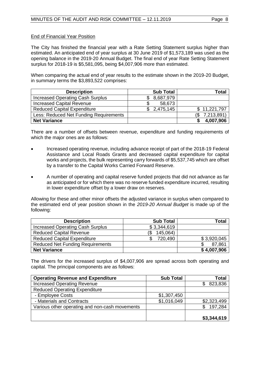#### End of Financial Year Position

The City has finished the financial year with a Rate Setting Statement surplus higher than estimated. An anticipated end of year surplus at 30 June 2019 of \$1,573,189 was used as the opening balance in the 2019-20 Annual Budget. The final end of year Rate Setting Statement surplus for 2018-19 is \$5,581,095, being \$4,007,906 more than estimated.

When comparing the actual end of year results to the estimate shown in the 2019-20 Budget, in summary terms the \$3,893,522 comprises:

| <b>Description</b>                     | <b>Sub Total</b> | Total        |
|----------------------------------------|------------------|--------------|
| Increased Operating Cash Surplus       | 8,687,979        |              |
| <b>Increased Capital Revenue</b>       | 58,673           |              |
| <b>Reduced Capital Expenditure</b>     | 2,475,145<br>\$. | \$11,221,797 |
| Less: Reduced Net Funding Requirements |                  | 7,213,891)   |
| <b>Net Variance</b>                    |                  | 4,007,906    |

There are a number of offsets between revenue, expenditure and funding requirements of which the major ones are as follows:

- Increased operating revenue, including advance receipt of part of the 2018-19 Federal Assistance and Local Roads Grants and decreased capital expenditure for capital works and projects, the bulk representing carry forwards of \$5,537,745 which are offset by a transfer to the Capital Works Carried Forward Reserve.
- A number of operating and capital reserve funded projects that did not advance as far as anticipated or for which there was no reserve funded expenditure incurred, resulting in lower expenditure offset by a lower draw on reserves.

Allowing for these and other minor offsets the adjusted variance in surplus when compared to the estimated end of year position shown in the *2019-20 Annual Budget* is made up of the following:

| <b>Description</b>                      | <b>Sub Total</b> | <b>Total</b> |
|-----------------------------------------|------------------|--------------|
| <b>Increased Operating Cash Surplus</b> | \$3,344,619      |              |
| <b>Reduced Capital Revenue</b>          | 145,064)<br>΄\$  |              |
| <b>Reduced Capital Expenditure</b>      | 720,490          | \$3,920,045  |
| <b>Reduced Net Funding Requirements</b> |                  | 87,861       |
| <b>Net Variance</b>                     |                  | \$4,007,906  |

The drivers for the increased surplus of \$4,007,906 are spread across both operating and capital. The principal components are as follows:

| <b>Operating Revenue and Expenditure</b>       | <b>Sub Total</b> | <b>Total</b> |
|------------------------------------------------|------------------|--------------|
| <b>Increased Operating Revenue</b>             |                  | 823,836      |
| <b>Reduced Operating Expenditure</b>           |                  |              |
| - Employee Costs                               | \$1,307,450      |              |
| - Materials and Contracts                      | \$1,016,049      | \$2,323,499  |
| Various other operating and non-cash movements |                  | 197,284      |
|                                                |                  |              |
|                                                |                  | \$3,344,619  |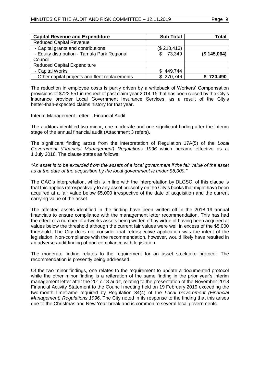| <b>Capital Revenue and Expenditure</b>          | <b>Sub Total</b> | Total       |
|-------------------------------------------------|------------------|-------------|
| <b>Reduced Capital Revenue</b>                  |                  |             |
| - Capital grants and contributions              | (\$218,413)      |             |
| - Equity distribution - Tamala Park Regional    | 73.349<br>\$.    | (\$145,064) |
| Council                                         |                  |             |
| <b>Reduced Capital Expenditure</b>              |                  |             |
| - Capital Works                                 | 449,744          |             |
| - Other capital projects and fleet replacements | \$ 270,746       | 720,490     |

The reduction in employee costs is partly driven by a writeback of Workers' Compensation provisions of \$722,551 in respect of past claim year 2014-15 that has been closed by the City's insurance provider Local Government Insurance Services, as a result of the City's better-than-expected claims history for that year.

#### Interim Management Letter – Financial Audit

The auditors identified two minor, one moderate and one significant finding after the interim stage of the annual financial audit (Attachment 3 refers).

The significant finding arose from the interpretation of Regulation 17A(5) of the *Local Government (Financial Management) Regulations 1996* which became effective as at 1 July 2018. The clause states as follows:

#### *"An asset is to be excluded from the assets of a local government if the fair value of the asset as at the date of the acquisition by the local government is under \$5,000."*

The OAG's interpretation, which is in line with the interpretation by DLGSC, of this clause is that this applies retrospectively to any asset presently on the City's books that might have been acquired at a fair value below \$5,000 irrespective of the date of acquisition and the current carrying value of the asset.

The affected assets identified in the finding have been written off in the 2018-19 annual financials to ensure compliance with the management letter recommendation. This has had the effect of a number of artworks assets being written off by virtue of having been acquired at values below the threshold although the current fair values were well in excess of the \$5,000 threshold. The City does not consider that retrospective application was the intent of the legislation. Non-compliance with the recommendation, however, would likely have resulted in an adverse audit finding of non-compliance with legislation.

The moderate finding relates to the requirement for an asset stocktake protocol. The recommendation is presently being addressed.

Of the two minor findings, one relates to the requirement to update a documented protocol while the other minor finding is a reiteration of the same finding in the prior year's interim management letter after the 2017-18 audit, relating to the presentation of the November 2018 Financial Activity Statement to the Council meeting held on 19 February 2019 exceeding the two-month timeframe required by Regulation 34(4) of the *Local Government (Financial Management) Regulations 1996*. The City noted in its response to the finding that this arises due to the Christmas and New Year break and is common to several local governments.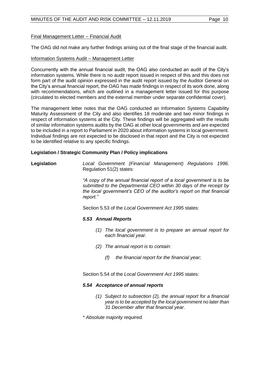## Final Management Letter – Financial Audit

The OAG did not make any further findings arising out of the final stage of the financial audit.

#### Information Systems Audit – Management Letter

Concurrently with the annual financial audit, the OAG also conducted an audit of the City's information systems. While there is no audit report issued in respect of this and this does not form part of the audit opinion expressed in the audit report issued by the Auditor General on the City's annual financial report, the OAG has made findings in respect of its work done, along with recommendations, which are outlined in a management letter issued for this purpose (circulated to elected members and the external member under separate confidential cover).

The management letter notes that the OAG conducted an Information Systems Capability Maturity Assessment of the City and also identifies 18 moderate and two minor findings in respect of information systems at the City. These findings will be aggregated with the results of similar information systems audits by the OAG at other local governments and are expected to be included in a report to Parliament in 2020 about information systems in local government. Individual findings are not expected to be disclosed in that report and the City is not expected to be identified relative to any specific findings.

#### **Legislation / Strategic Community Plan / Policy implications**

**Legislation** *Local Government (Financial Management) Regulations 1996.*  Regulation 51(2) states:

> *"A copy of the annual financial report of a local government is to be submitted to the Departmental CEO within 30 days of the receipt by the local government's CEO of the auditor's report on that financial report."*

Section 5.53 of the *Local Government Act 1995* states:

#### *5.53 Annual Reports*

- *(1) The local government is to prepare an annual report for each financial year.*
- *(2) The annual report is to contain:* 
	- *(f) the financial report for the financial year;*

Section 5.54 of the *Local Government Act 1995* states:

#### *5.54 Acceptance of annual reports*

- *(1) Subject to subsection (2), the annual report for a financial year is to be accepted by the local government no later than 31 December after that financial year.*
- *\* Absolute majority required.*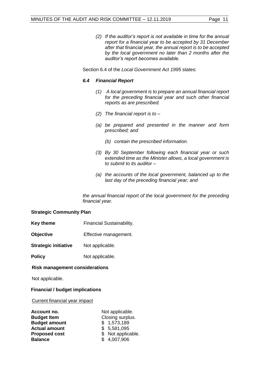*(2) If the auditor's report is not available in time for the annual report for a financial year to be accepted by 31 December* 

*after that financial year, the annual report is to be accepted by the local government no later than 2 months after the auditor's report becomes available.* 

Section 6.4 of the *Local Government Act 1995* states:

## *6.4 Financial Report*

- *(1) A local government is to prepare an annual financial report for the preceding financial year and such other financial reports as are prescribed.*
- *(2) The financial report is to –*
- *(a) be prepared and presented in the manner and form prescribed; and*
	- *(b) contain the prescribed information.*
- *(3) By 30 September following each financial year or such extended time as the Minister allows, a local government is to submit to its auditor –*
- *(a) the accounts of the local government, balanced up to the last day of the preceding financial year; and*

*the annual financial report of the local government for the preceding financial year.*

#### **Strategic Community Plan**

- **Key theme Financial Sustainability.**
- **Objective** Effective management.
- **Strategic initiative** Not applicable.
- **Policy** Not applicable.

#### **Risk management considerations**

Not applicable.

# **Financial / budget implications**

Current financial year impact

| Account no.          | Not applicable.    |  |
|----------------------|--------------------|--|
| <b>Budget Item</b>   | Closing surplus.   |  |
| <b>Budget amount</b> | \$1,573,189        |  |
| <b>Actual amount</b> | \$5,581,095        |  |
| <b>Proposed cost</b> | \$ Not applicable. |  |
| <b>Balance</b>       | \$4,007,906        |  |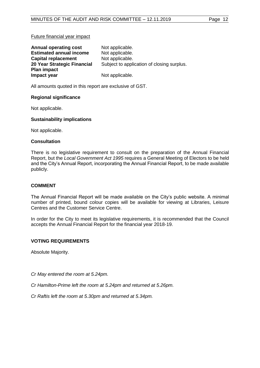#### Future financial year impact

| <b>Annual operating cost</b>   | Not applicable.                            |
|--------------------------------|--------------------------------------------|
| <b>Estimated annual income</b> | Not applicable.                            |
| <b>Capital replacement</b>     | Not applicable.                            |
| 20 Year Strategic Financial    | Subject to application of closing surplus. |
| <b>Plan impact</b>             |                                            |
| Impact year                    | Not applicable.                            |

All amounts quoted in this report are exclusive of GST.

#### **Regional significance**

Not applicable.

#### **Sustainability implications**

Not applicable.

#### **Consultation**

There is no legislative requirement to consult on the preparation of the Annual Financial Report, but the *Local Government Act 1995* requires a General Meeting of Electors to be held and the City's Annual Report, incorporating the Annual Financial Report, to be made available publicly.

#### **COMMENT**

The Annual Financial Report will be made available on the City's public website. A minimal number of printed, bound colour copies will be available for viewing at Libraries, Leisure Centres and the Customer Service Centre.

In order for the City to meet its legislative requirements, it is recommended that the Council accepts the Annual Financial Report for the financial year 2018-19.

#### **VOTING REQUIREMENTS**

Absolute Majority.

*Cr May entered the room at 5.24pm.*

*Cr Hamilton-Prime left the room at 5.24pm and returned at 5.26pm.*

*Cr Raftis left the room at 5.30pm and returned at 5.34pm.*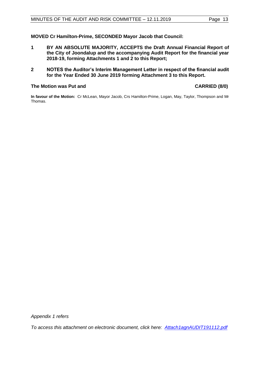#### **MOVED Cr Hamilton-Prime, SECONDED Mayor Jacob that Council:**

- **1 BY AN ABSOLUTE MAJORITY, ACCEPTS the Draft Annual Financial Report of the City of Joondalup and the accompanying Audit Report for the financial year 2018-19, forming Attachments 1 and 2 to this Report;**
- **2 NOTES the Auditor's Interim Management Letter in respect of the financial audit for the Year Ended 30 June 2019 forming Attachment 3 to this Report.**

#### **The Motion was Put and CARRIED (8/0)**

**In favour of the Motion:** Cr McLean, Mayor Jacob, Crs Hamilton-Prime, Logan, May, Taylor, Thompson and Mr Thomas.

*Appendix 1 refers*

*To access this attachment on electronic document, click here: [Attach1agnAUDIT191112.pdf](http://www.joondalup.wa.gov.au/files/committees/AURI/2019/Attach1agnAUDIT191112.pdf)*